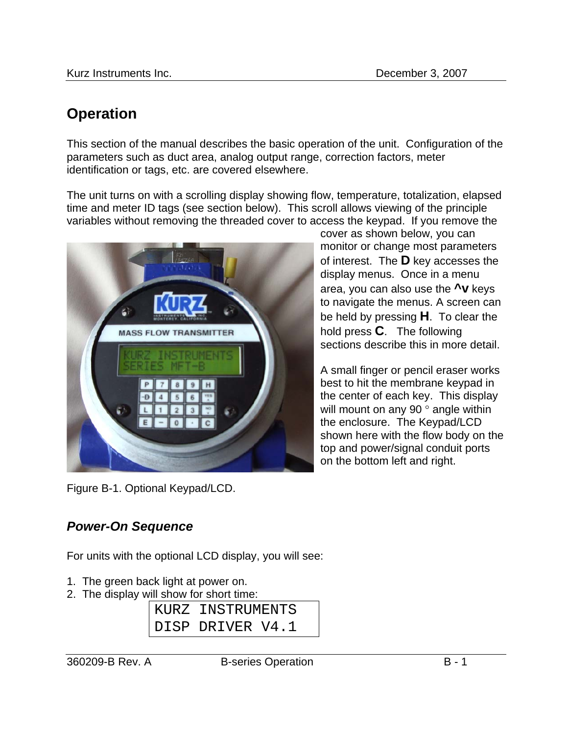# **Operation**

This section of the manual describes the basic operation of the unit. Configuration of the parameters such as duct area, analog output range, correction factors, meter identification or tags, etc. are covered elsewhere.

The unit turns on with a scrolling display showing flow, temperature, totalization, elapsed time and meter ID tags (see section below). This scroll allows viewing of the principle variables without removing the threaded cover to access the keypad. If you remove the



Figure B-1. Optional Keypad/LCD.

cover as shown below, you can monitor or change most parameters of interest. The **D** key accesses the display menus. Once in a menu area, you can also use the **^v** keys to navigate the menus. A screen can be held by pressing **H**. To clear the hold press **C**. The following sections describe this in more detail.

A small finger or pencil eraser works best to hit the membrane keypad in the center of each key. This display will mount on any 90 ° angle within the enclosure. The Keypad/LCD shown here with the flow body on the top and power/signal conduit ports on the bottom left and right.

## *Power-On Sequence*

For units with the optional LCD display, you will see:

- 1. The green back light at power on.
- 2. The display will show for short time:

| KURZ INSTRUMENTS |  |
|------------------|--|
| DISP DRIVER V4.1 |  |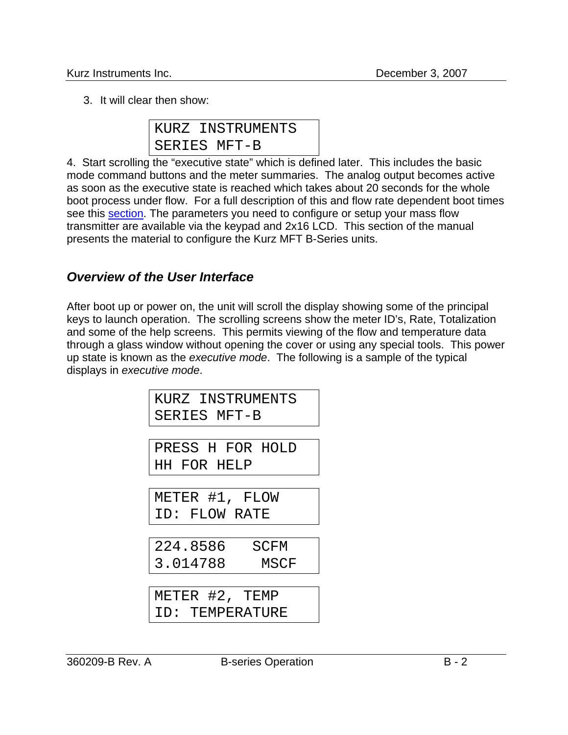3. It will clear then show:

|  | KURZ INSTRUMENTS |
|--|------------------|
|  | SERIES MFT-B     |

4. Start scrolling the "executive state" which is defined later. This includes the basic mode command buttons and the meter summaries. The analog output becomes active as soon as the executive state is reached which takes about 20 seconds for the whole boot process under flow. For a full description of this and flow rate dependent boot times see this section. The parameters you need to configure or setup your mass flow transmitter are available via the keypad and 2x16 LCD. This section of the manual presents the material to configure the Kurz MFT B-Series units.

#### *Overview of the User Interface*

After boot up or power on, the unit will scroll the display showing some of the principal keys to launch operation. The scrolling screens show the meter ID's, Rate, Totalization and some of the help screens. This permits viewing of the flow and temperature data through a glass window without opening the cover or using any special tools. This power up state is known as the *executive mode*. The following is a sample of the typical displays in *executive mode*.

| KURZ INSTRUMENTS |  |
|------------------|--|
| SERIES MFT-B     |  |

PRESS H FOR HOLD HH FOR HELP

METER #1, FLOW ID: FLOW RATE

| 224.8586 | SCFM |
|----------|------|
| 3.014788 | MSCF |

METER #2, TEMP ID: TEMPERATURE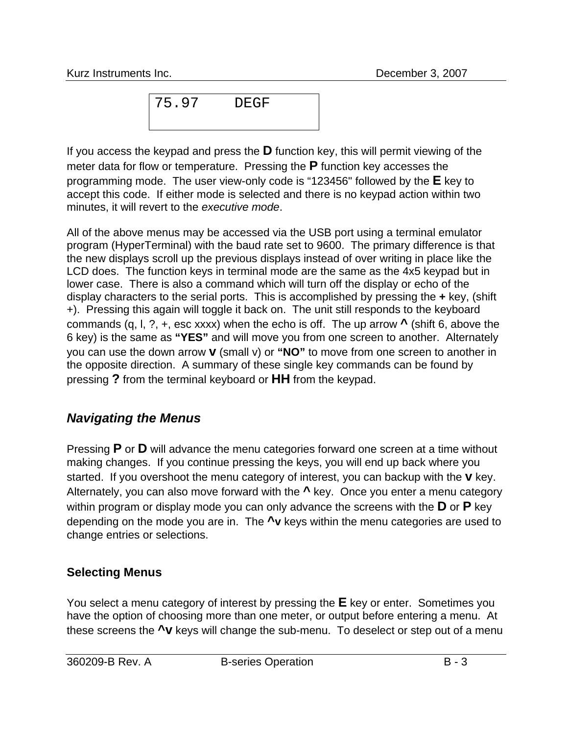Kurz Instruments Inc. December 3, 2007

75.97 DEGF

If you access the keypad and press the **D** function key, this will permit viewing of the meter data for flow or temperature. Pressing the **P** function key accesses the programming mode. The user view-only code is "123456" followed by the **E** key to accept this code. If either mode is selected and there is no keypad action within two minutes, it will revert to the *executive mode*.

All of the above menus may be accessed via the USB port using a terminal emulator program (HyperTerminal) with the baud rate set to 9600. The primary difference is that the new displays scroll up the previous displays instead of over writing in place like the LCD does. The function keys in terminal mode are the same as the 4x5 keypad but in lower case. There is also a command which will turn off the display or echo of the display characters to the serial ports. This is accomplished by pressing the **+** key, (shift +). Pressing this again will toggle it back on. The unit still responds to the keyboard commands (q, l, ?, +, esc xxxx) when the echo is off. The up arrow **^** (shift 6, above the 6 key) is the same as **"YES"** and will move you from one screen to another. Alternately you can use the down arrow **v** (small v) or **"NO"** to move from one screen to another in the opposite direction. A summary of these single key commands can be found by pressing **?** from the terminal keyboard or **HH** from the keypad.

### *Navigating the Menus*

Pressing **P** or **D** will advance the menu categories forward one screen at a time without making changes. If you continue pressing the keys, you will end up back where you started. If you overshoot the menu category of interest, you can backup with the **v** key. Alternately, you can also move forward with the **^** key. Once you enter a menu category within program or display mode you can only advance the screens with the **D** or **P** key depending on the mode you are in. The **^v** keys within the menu categories are used to change entries or selections.

#### **Selecting Menus**

You select a menu category of interest by pressing the **E** key or enter. Sometimes you have the option of choosing more than one meter, or output before entering a menu. At these screens the **^v** keys will change the sub-menu. To deselect or step out of a menu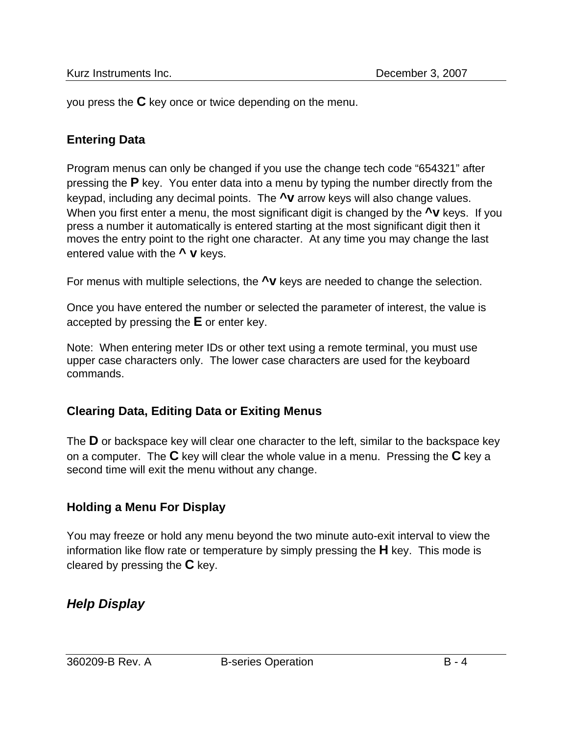you press the **C** key once or twice depending on the menu.

#### **Entering Data**

Program menus can only be changed if you use the change tech code "654321" after pressing the **P** key. You enter data into a menu by typing the number directly from the keypad, including any decimal points. The **^v** arrow keys will also change values. When you first enter a menu, the most significant digit is changed by the **<sup>^</sup>V** keys. If you press a number it automatically is entered starting at the most significant digit then it moves the entry point to the right one character. At any time you may change the last entered value with the **^ v** keys.

For menus with multiple selections, the **^v** keys are needed to change the selection.

Once you have entered the number or selected the parameter of interest, the value is accepted by pressing the **E** or enter key.

Note: When entering meter IDs or other text using a remote terminal, you must use upper case characters only. The lower case characters are used for the keyboard commands.

#### **Clearing Data, Editing Data or Exiting Menus**

The **D** or backspace key will clear one character to the left, similar to the backspace key on a computer. The **C** key will clear the whole value in a menu. Pressing the **C** key a second time will exit the menu without any change.

#### **Holding a Menu For Display**

You may freeze or hold any menu beyond the two minute auto-exit interval to view the information like flow rate or temperature by simply pressing the **H** key. This mode is cleared by pressing the **C** key.

### *Help Display*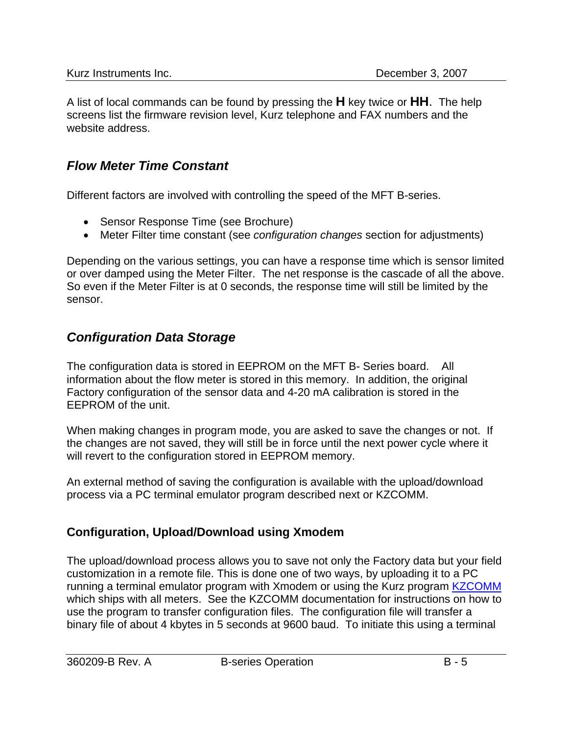A list of local commands can be found by pressing the **H** key twice or **HH**. The help screens list the firmware revision level, Kurz telephone and FAX numbers and the website address.

#### *Flow Meter Time Constant*

Different factors are involved with controlling the speed of the MFT B-series.

- Sensor Response Time (see Brochure)
- Meter Filter time constant (see *configuration changes* section for adjustments)

Depending on the various settings, you can have a response time which is sensor limited or over damped using the Meter Filter. The net response is the cascade of all the above. So even if the Meter Filter is at 0 seconds, the response time will still be limited by the sensor.

### *Configuration Data Storage*

The configuration data is stored in EEPROM on the MFT B- Series board. All information about the flow meter is stored in this memory. In addition, the original Factory configuration of the sensor data and 4-20 mA calibration is stored in the EEPROM of the unit.

When making changes in program mode, you are asked to save the changes or not. If the changes are not saved, they will still be in force until the next power cycle where it will revert to the configuration stored in EEPROM memory.

An external method of saving the configuration is available with the upload/download process via a PC terminal emulator program described next or KZCOMM.

### **Configuration, Upload/Download using Xmodem**

The upload/download process allows you to save not only the Factory data but your field customization in a remote file. This is done one of two ways, by uploading it to a PC running a terminal emulator program with Xmodem or using the Kurz program **KZCOMM** which ships with all meters. See the KZCOMM documentation for instructions on how to use the program to transfer configuration files. The configuration file will transfer a binary file of about 4 kbytes in 5 seconds at 9600 baud. To initiate this using a terminal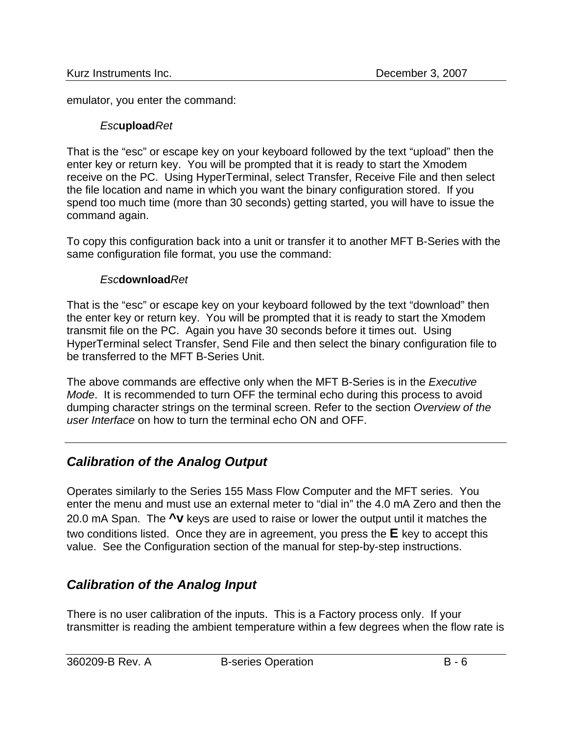emulator, you enter the command:

#### *Esc***upload***Ret*

That is the "esc" or escape key on your keyboard followed by the text "upload" then the enter key or return key. You will be prompted that it is ready to start the Xmodem receive on the PC. Using HyperTerminal, select Transfer, Receive File and then select the file location and name in which you want the binary configuration stored. If you spend too much time (more than 30 seconds) getting started, you will have to issue the command again.

To copy this configuration back into a unit or transfer it to another MFT B-Series with the same configuration file format, you use the command:

#### *Esc***download***Ret*

That is the "esc" or escape key on your keyboard followed by the text "download" then the enter key or return key. You will be prompted that it is ready to start the Xmodem transmit file on the PC. Again you have 30 seconds before it times out. Using HyperTerminal select Transfer, Send File and then select the binary configuration file to be transferred to the MFT B-Series Unit.

The above commands are effective only when the MFT B-Series is in the *Executive Mode*. It is recommended to turn OFF the terminal echo during this process to avoid dumping character strings on the terminal screen. Refer to the section *Overview of the user Interface* on how to turn the terminal echo ON and OFF.

## *Calibration of the Analog Output*

Operates similarly to the Series 155 Mass Flow Computer and the MFT series. You enter the menu and must use an external meter to "dial in" the 4.0 mA Zero and then the 20.0 mA Span. The **^v** keys are used to raise or lower the output until it matches the two conditions listed. Once they are in agreement, you press the **E** key to accept this value. See the Configuration section of the manual for step-by-step instructions.

## *Calibration of the Analog Input*

There is no user calibration of the inputs. This is a Factory process only. If your transmitter is reading the ambient temperature within a few degrees when the flow rate is